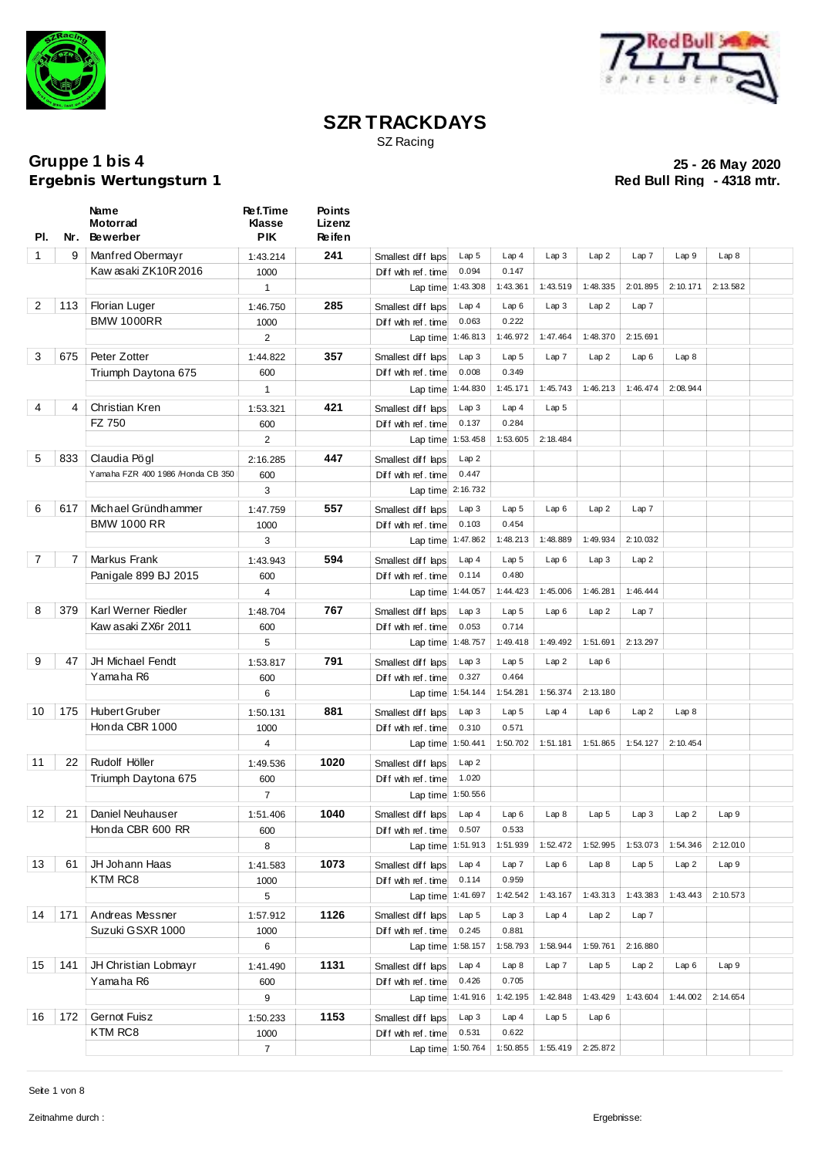



SZ Racing

**Ergebnis Wertungsturn 1** 

| PI.            | Nr. | Name<br>Motorrad<br><b>Bewerber</b>        | Ref.Time<br><b>Klasse</b><br><b>PIK</b> | <b>Points</b><br>Lizenz<br>Re ife n |                                           |                   |                   |                  |                  |                  |          |                  |  |
|----------------|-----|--------------------------------------------|-----------------------------------------|-------------------------------------|-------------------------------------------|-------------------|-------------------|------------------|------------------|------------------|----------|------------------|--|
| 1              | 9   | Manfred Obermayr                           | 1:43.214                                | 241                                 | Smallest diff laps                        | Lap <sub>5</sub>  | Lap4              | Lap3             | Lap2             | Lap7             | Lap 9    | Lap 8            |  |
|                |     | Kaw asaki ZK10R2016                        | 1000                                    |                                     | Diff with ref. time                       | 0.094             | 0.147             |                  |                  |                  |          |                  |  |
|                |     |                                            | $\mathbf{1}$                            |                                     |                                           | Lap time 1:43.308 | 1:43.361          | 1:43.519         | 1:48.335         | 2:01.895         | 2:10.171 | 2:13.582         |  |
| $\overline{2}$ | 113 | Florian Luger                              | 1:46.750                                | 285                                 | Smallest diff laps                        | Lap4              | Lap6              | Lap3             | Lap2             | Lap7             |          |                  |  |
|                |     | <b>BMW 1000RR</b>                          | 1000                                    |                                     | Diff with ref. time                       | 0.063             | 0.222             |                  |                  |                  |          |                  |  |
|                |     |                                            | $\overline{2}$                          |                                     |                                           | Lap time 1:46.813 | 1:46.972          | 1:47.464         | 1:48.370         | 2:15.691         |          |                  |  |
| 3              | 675 | Peter Zotter                               | 1:44.822                                | 357                                 | Smallest diff laps                        | Lap 3             | Lap <sub>5</sub>  | Lap7             | Lap2             | Lap6             | Lap8     |                  |  |
|                |     | Triumph Daytona 675                        | 600                                     |                                     | Diff with ref. time                       | 0.008             | 0.349             |                  |                  |                  |          |                  |  |
|                |     |                                            | $\mathbf{1}$                            |                                     | Lap time 1:44.830                         |                   | 1:45.171          | 1:45.743         | 1:46.213         | 1:46.474         | 2:08.944 |                  |  |
| 4              | 4   | Christian Kren                             | 1:53.321                                | 421                                 | Smallest diff laps                        | Lap3              | Lap4              | Lap <sub>5</sub> |                  |                  |          |                  |  |
|                |     | FZ 750                                     | 600                                     |                                     | Diff with ref. time                       | 0.137             | 0.284             |                  |                  |                  |          |                  |  |
|                |     |                                            | $\overline{2}$                          |                                     | Lap time 1:53.458                         |                   | 1:53.605          | 2:18.484         |                  |                  |          |                  |  |
| 5              | 833 | Claudia Pögl                               | 2:16.285                                | 447                                 | Smallest diff laps                        | Lap2              |                   |                  |                  |                  |          |                  |  |
|                |     | Yamaha FZR 400 1986 /Honda CB 350          | 600                                     |                                     | Diff with ref. time                       | 0.447             |                   |                  |                  |                  |          |                  |  |
|                |     |                                            | 3                                       |                                     | Lap time 2:16.732                         |                   |                   |                  |                  |                  |          |                  |  |
| 6              | 617 | Michael Gründhammer                        | 1:47.759                                | 557                                 | Smallest diff laps                        | Lap3              | Lap <sub>5</sub>  | Lap6             | Lap2             | Lap7             |          |                  |  |
|                |     | <b>BMW 1000 RR</b>                         | 1000                                    |                                     | Diff with ref. time                       | 0.103             | 0.454             |                  |                  |                  |          |                  |  |
|                |     |                                            | 3                                       |                                     | Lap time 1:47.862                         |                   | 1:48.213          | 1:48.889         | 1:49.934         | 2:10.032         |          |                  |  |
| $\overline{7}$ | 7   | Markus Frank                               |                                         | 594                                 |                                           | Lap4              | Lap <sub>5</sub>  | Lap6             | Lap3             | Lap2             |          |                  |  |
|                |     | Panigale 899 BJ 2015                       | 1:43.943<br>600                         |                                     | Smallest diff laps<br>Diff with ref. time | 0.114             | 0.480             |                  |                  |                  |          |                  |  |
|                |     |                                            | 4                                       |                                     | Lap time 1:44.057                         |                   | 1:44.423          | 1:45.006         | 1:46.281         | 1:46.444         |          |                  |  |
|                |     |                                            |                                         |                                     |                                           |                   |                   |                  |                  |                  |          |                  |  |
| 8              | 379 | Karl Werner Riedler<br>Kaw asaki ZX6r 2011 | 1:48.704                                | 767                                 | Smallest diff laps                        | Lap3              | Lap <sub>5</sub>  | Lap6             | Lap2             | Lap7             |          |                  |  |
|                |     |                                            | 600                                     |                                     | Diff with ref. time                       | 0.053             | 0.714<br>1:49.418 | 1:49.492         | 1:51.691         | 2:13.297         |          |                  |  |
|                |     |                                            | 5                                       |                                     | Lap time 1:48.757                         |                   |                   |                  |                  |                  |          |                  |  |
| 9              | 47  | <b>JH Michael Fendt</b>                    | 1:53.817                                | 791                                 | Smallest diff laps                        | Lap3              | Lap <sub>5</sub>  | Lap2             | Lap6             |                  |          |                  |  |
|                |     | Yamaha R6                                  | 600                                     |                                     | Diff with ref. time                       | 0.327             | 0.464             |                  |                  |                  |          |                  |  |
|                |     |                                            | 6                                       |                                     | Lap time 1:54.144                         |                   | 1:54.281          | 1:56.374         | 2:13.180         |                  |          |                  |  |
| 10             | 175 | <b>Hubert Gruber</b>                       | 1:50.131                                | 881                                 | Smallest diff laps                        | Lap3              | Lap <sub>5</sub>  | Lap4             | Lap6             | Lap2             | Lap 8    |                  |  |
|                |     | Honda CBR 1000                             | 1000                                    |                                     | Diff with ref. time                       | 0.310             | 0.571             |                  |                  |                  |          |                  |  |
|                |     |                                            | $\overline{4}$                          |                                     | Lap time 1:50.441                         |                   | 1:50.702          | 1:51.181         | 1:51.865         | 1:54.127         | 2:10.454 |                  |  |
| 11             | 22  | Rudolf Höller                              | 1:49.536                                | 1020                                | Smallest diff laps                        | Lap2              |                   |                  |                  |                  |          |                  |  |
|                |     | Triumph Daytona 675                        | 600                                     |                                     | Diff with ref. time                       | 1.020             |                   |                  |                  |                  |          |                  |  |
|                |     |                                            | $\overline{7}$                          |                                     | Lap time 1:50.556                         |                   |                   |                  |                  |                  |          |                  |  |
| 12             | 21  | Daniel Neuhauser                           | 1:51.406                                | 1040                                | Smallest diff laps Lap 4                  |                   | Lap6              | Lap8             | Lap <sub>5</sub> | Lap3             | Lap2     | Lap9             |  |
|                |     | Honda CBR 600 RR                           | 600                                     |                                     | Diff with ref. time                       | 0.507             | 0.533             |                  |                  |                  |          |                  |  |
|                |     |                                            | 8                                       |                                     |                                           | Lap time 1:51.913 | 1:51.939          | 1:52.472         | 1:52.995         | 1:53.073         | 1:54.346 | 2:12.010         |  |
| 13             | 61  | JH Johann Haas                             | 1:41.583                                | 1073                                | Smallest diff laps                        | Lap <sub>4</sub>  | Lap7              | Lap6             | Lap8             | Lap <sub>5</sub> | Lap2     | Lap9             |  |
|                |     | KTM RC8                                    | 1000                                    |                                     | Diff with ref. time                       | 0.114             | 0.959             |                  |                  |                  |          |                  |  |
|                |     |                                            | 5                                       |                                     | Lap time 1:41.697                         |                   | 1:42.542          | 1:43.167         | 1:43.313         | 1:43.383         | 1:43.443 | 2:10.573         |  |
| 14             | 171 | Andreas Messner                            | 1:57.912                                | 1126                                | Smallest diff laps                        | Lap <sub>5</sub>  | Lap3              | Lap4             | Lap2             | Lap7             |          |                  |  |
|                |     | Suzuki GSXR 1000                           | 1000                                    |                                     | Diff with ref. time                       | 0.245             | 0.881             |                  |                  |                  |          |                  |  |
|                |     |                                            | 6                                       |                                     | Lap time 1:58.157                         |                   | 1:58.793          | 1:58.944         | 1:59.761         | 2:16.880         |          |                  |  |
| 15             | 141 | JH Christian Lobmayr                       | 1:41.490                                | 1131                                | Smallest diff laps                        | Lap4              | Lap8              | Lap 7            | Lap <sub>5</sub> | Lap2             | Lap6     | Lap <sub>9</sub> |  |
|                |     | Yamaha R6                                  | 600                                     |                                     | Diff with ref. time                       | 0.426             | 0.705             |                  |                  |                  |          |                  |  |
|                |     |                                            | 9                                       |                                     | Lap time 1:41.916                         |                   | 1:42.195          | 1:42.848         | 1:43.429         | 1:43.604         | 1:44.002 | 2:14.654         |  |
| 16             | 172 | Gernot Fuisz                               | 1:50.233                                | 1153                                | Smallest diff laps                        | Lap3              | Lap4              | Lap <sub>5</sub> | Lap6             |                  |          |                  |  |
|                |     | KTM RC8                                    | 1000                                    |                                     | Diff with ref. time                       | 0.531             | 0.622             |                  |                  |                  |          |                  |  |
|                |     |                                            | $7^{\circ}$                             |                                     | Lap time 1:50.764                         |                   | 1:50.855          | 1:55.419         | 2:25.872         |                  |          |                  |  |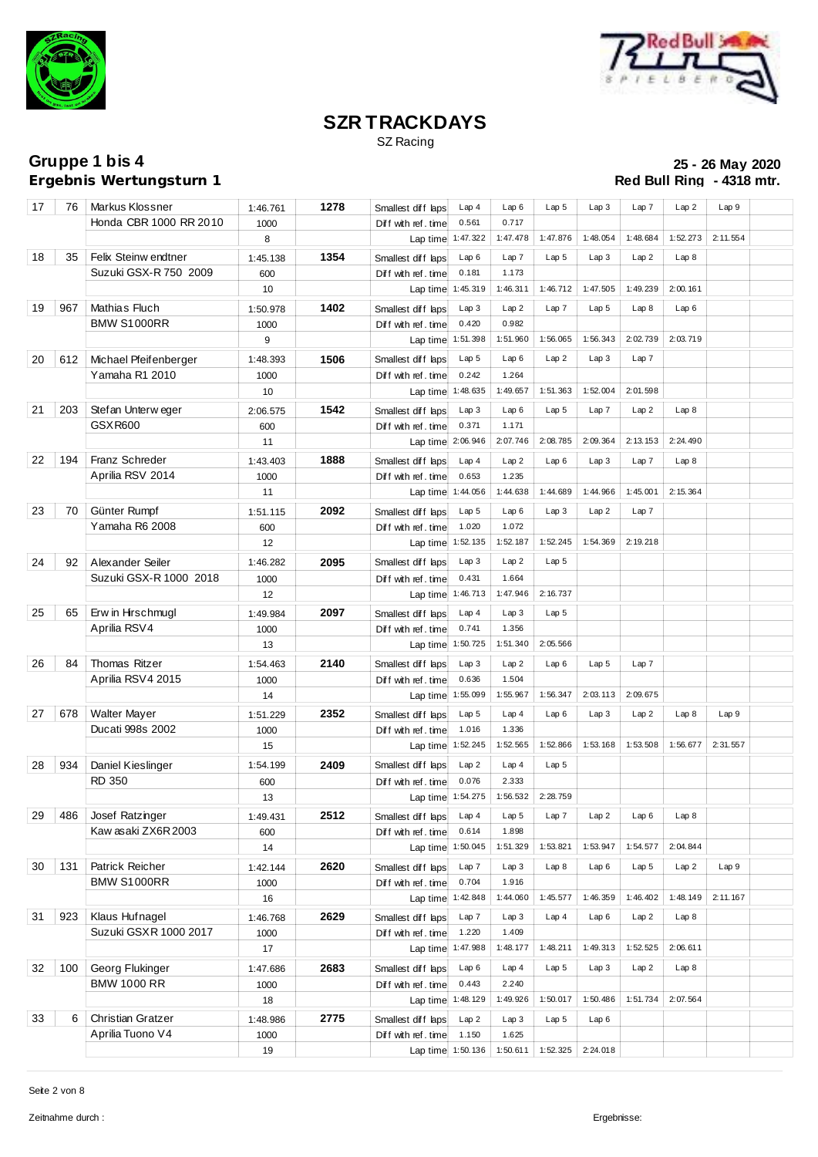



SZ Racing

**Ergebnis Wertungsturn 1** 

| 17 | 76  | Markus Klossner                     | 1:46.761          | 1278 | Smallest diff laps                                       | Lap4              | Lap6              | Lap <sub>5</sub> | Lap3             | Lap 7            | Lap2     | Lap 9    |  |
|----|-----|-------------------------------------|-------------------|------|----------------------------------------------------------|-------------------|-------------------|------------------|------------------|------------------|----------|----------|--|
|    |     | Honda CBR 1000 RR 2010              | 1000              |      | Diff with ref. time                                      | 0.561             | 0.717             |                  |                  |                  |          |          |  |
|    |     |                                     | 8                 |      | Lap time 1:47.322                                        |                   | 1:47.478          | 1:47.876         | 1:48.054         | 1:48.684         | 1:52.273 | 2:11.554 |  |
| 18 | 35  | Felix Steinw endtner                | 1:45.138          | 1354 | Smallest diff laps                                       | Lap6              | Lap 7             | Lap <sub>5</sub> | Lap3             | Lap2             | Lap8     |          |  |
|    |     | Suzuki GSX-R 750 2009               | 600               |      | Diff with ref. time                                      | 0.181             | 1.173             |                  |                  |                  |          |          |  |
|    |     |                                     | 10                |      | Lap time 1:45.319                                        |                   | 1:46.311          | 1:46.712         | 1:47.505         | 1:49.239         | 2:00.161 |          |  |
| 19 | 967 | Mathias Fluch                       | 1:50.978          | 1402 | Smallest diff laps                                       | Lap3              | Lap2              | Lap7             | Lap <sub>5</sub> | Lap8             | Lap6     |          |  |
|    |     | <b>BMW S1000RR</b>                  | 1000              |      | Diff with ref. time                                      | 0.420             | 0.982             |                  |                  |                  |          |          |  |
|    |     |                                     | 9                 |      | Lap time 1:51.398                                        |                   | 1:51.960          | 1:56.065         | 1:56.343         | 2:02.739         | 2:03.719 |          |  |
| 20 | 612 | Michael Pfeifenberger               | 1:48.393          | 1506 | Smallest diff laps                                       | Lap <sub>5</sub>  | Lap6              | Lap2             | Lap 3            | Lap 7            |          |          |  |
|    |     | Yamaha R1 2010                      | 1000              |      | Diff with ref. time                                      | 0.242             | 1.264             |                  |                  |                  |          |          |  |
|    |     |                                     | 10                |      | Lap time 1:48.635                                        |                   | 1:49.657          | 1:51.363         | 1:52.004         | 2:01.598         |          |          |  |
| 21 | 203 |                                     |                   | 1542 |                                                          |                   | Lap6              | Lap <sub>5</sub> | Lap 7            | Lap2             |          |          |  |
|    |     | Stefan Unterweger<br><b>GSXR600</b> | 2:06.575          |      | Smallest diff laps                                       | Lap3<br>0.371     | 1.171             |                  |                  |                  | Lap8     |          |  |
|    |     |                                     | 600<br>11         |      | Diff with ref. time<br>Lap time 2:06.946                 |                   | 2:07.746          | 2:08.785         | 2:09.364         | 2:13.153         | 2:24.490 |          |  |
|    |     |                                     |                   |      |                                                          |                   |                   |                  |                  |                  |          |          |  |
| 22 | 194 | Franz Schreder                      | 1:43.403          | 1888 | Smallest diff laps                                       | Lap4              | Lap2              | Lap6             | Lap3             | Lap 7            | Lap8     |          |  |
|    |     | Aprilia RSV 2014                    | 1000              |      | Diff with ref. time                                      | 0.653             | 1.235             |                  |                  |                  |          |          |  |
|    |     |                                     | 11                |      | Lap time 1:44.056                                        |                   | 1:44.638          | 1:44.689         | 1:44.966         | 1:45.001         | 2:15.364 |          |  |
| 23 | 70  | Günter Rumpf                        | 1:51.115          | 2092 | Smallest diff laps                                       | Lap <sub>5</sub>  | Lap6              | Lap3             | Lap2             | Lap 7            |          |          |  |
|    |     | Yamaha R6 2008                      | 600               |      | Diff with ref. time                                      | 1.020             | 1.072             |                  |                  |                  |          |          |  |
|    |     |                                     | 12                |      | Lap time 1:52.135                                        |                   | 1:52.187          | 1:52.245         | 1:54.369         | 2:19.218         |          |          |  |
| 24 | 92  | Alexander Seiler                    | 1:46.282          | 2095 | Smallest diff laps                                       | Lap3              | Lap2              | Lap <sub>5</sub> |                  |                  |          |          |  |
|    |     | Suzuki GSX-R 1000 2018              | 1000              |      | Diff with ref. time                                      | 0.431             | 1.664             |                  |                  |                  |          |          |  |
|    |     |                                     | $12 \overline{ }$ |      | Lap time 1:46.713                                        |                   | 1:47.946          | 2:16.737         |                  |                  |          |          |  |
| 25 | 65  | Erw in Hirschmugl                   | 1:49.984          | 2097 | Smallest diff laps                                       | Lap4              | Lap3              | Lap <sub>5</sub> |                  |                  |          |          |  |
|    |     | Aprilia RSV4                        | 1000              |      | Diff with ref. time                                      | 0.741             | 1.356             |                  |                  |                  |          |          |  |
|    |     |                                     | 13                |      | Lap time 1:50.725                                        |                   | 1:51.340          | 2:05.566         |                  |                  |          |          |  |
| 26 | 84  | Thomas Ritzer                       | 1:54.463          | 2140 | Smallest diff laps                                       | Lap3              | Lap2              | Lap6             | Lap <sub>5</sub> | Lap 7            |          |          |  |
|    |     | Aprilia RSV4 2015                   | 1000              |      | Diff with ref. time                                      | 0.636             | 1.504             |                  |                  |                  |          |          |  |
|    |     |                                     | 14                |      |                                                          | Lap time 1:55.099 | 1:55.967          | 1:56.347         | 2:03.113         | 2:09.675         |          |          |  |
| 27 | 678 | Walter Mayer                        | 1:51.229          | 2352 | Smallest diff laps                                       | Lap <sub>5</sub>  | Lap4              | Lap6             | Lap3             | Lap2             | Lap8     | Lap9     |  |
|    |     | Ducati 998s 2002                    | 1000              |      | Diff with ref. time                                      | 1.016             | 1.336             |                  |                  |                  |          |          |  |
|    |     |                                     | 15                |      | Lap time 1:52.245                                        |                   | 1:52.565          | 1:52.866         | 1:53.168         | 1:53.508         | 1:56.677 | 2:31.557 |  |
| 28 | 934 | Daniel Kieslinger                   | 1:54.199          | 2409 | Smallest diff laps                                       | Lap2              | Lap4              | Lap <sub>5</sub> |                  |                  |          |          |  |
|    |     | <b>RD 350</b>                       | 600               |      | Diff with ref. time                                      | 0.076             | 2.333             |                  |                  |                  |          |          |  |
|    |     |                                     | 13                |      |                                                          | Lap time 1:54.275 | 1:56.532          | 2:28.759         |                  |                  |          |          |  |
|    |     |                                     |                   |      |                                                          |                   |                   |                  |                  |                  |          |          |  |
|    |     | 29 486 Josef Ratzinger              | 1:49.431          | 2512 | Smallestdiffbaps Lap4   Lap5   Lap7   Lap2   Lap6   Lap8 |                   |                   |                  |                  |                  |          |          |  |
|    |     | Kaw asaki ZX6R 2003                 | 600               |      | Diff with ref. time<br>Lap time 1:50.045                 | 0.614             | 1.898<br>1:51.329 | 1:53.821         | 1:53.947         | 1:54.577         | 2:04.844 |          |  |
|    |     |                                     | 14                |      |                                                          |                   |                   |                  |                  |                  |          |          |  |
| 30 | 131 | Patrick Reicher                     | 1:42.144          | 2620 | Smallest diff laps                                       | Lap 7             | Lap3              | Lap8             | Lap6             | Lap <sub>5</sub> | Lap2     | Lap9     |  |
|    |     | <b>BMW S1000RR</b>                  | 1000              |      | Diff with ref. time                                      | 0.704             | 1.916             |                  |                  |                  |          |          |  |
|    |     |                                     | 16                |      | Lap time 1:42.848                                        |                   | 1:44.060          | 1:45.577         | 1:46.359         | 1:46.402         | 1:48.149 | 2:11.167 |  |
| 31 | 923 | Klaus Hufnagel                      | 1:46.768          | 2629 | Smallest diff laps                                       | Lap 7             | Lap3              | Lap4             | Lap6             | Lap2             | Lap8     |          |  |
|    |     | Suzuki GSXR 1000 2017               | 1000              |      | Diff with ref. time                                      | 1.220             | 1.409             |                  |                  |                  |          |          |  |
|    |     |                                     | 17                |      | Lap time 1:47.988                                        |                   | 1:48.177          | 1:48.211         | 1:49.313         | 1:52.525         | 2:06.611 |          |  |
| 32 | 100 | Georg Flukinger                     | 1:47.686          | 2683 | Smallest diff laps                                       | Lap6              | Lap4              | Lap <sub>5</sub> | Lap3             | Lap2             | Lap8     |          |  |
|    |     | <b>BMW 1000 RR</b>                  | 1000              |      | Diff with ref. time                                      | 0.443             | 2.240             |                  |                  |                  |          |          |  |
|    |     |                                     | 18                |      | Lap time 1:48.129                                        |                   | 1:49.926          | 1:50.017         | 1:50.486         | 1:51.734         | 2:07.564 |          |  |
| 33 | 6   | Christian Gratzer                   | 1:48.986          | 2775 | Smallest diff laps                                       | Lap2              | Lap3              | Lap <sub>5</sub> | Lap6             |                  |          |          |  |
|    |     | Aprilia Tuono V4                    | 1000              |      | Diff with ref. time                                      | 1.150             | 1.625             |                  |                  |                  |          |          |  |
|    |     |                                     | 19                |      |                                                          | Lap time 1:50.136 | 1:50.611          | 1:52.325         | 2:24.018         |                  |          |          |  |
|    |     |                                     |                   |      |                                                          |                   |                   |                  |                  |                  |          |          |  |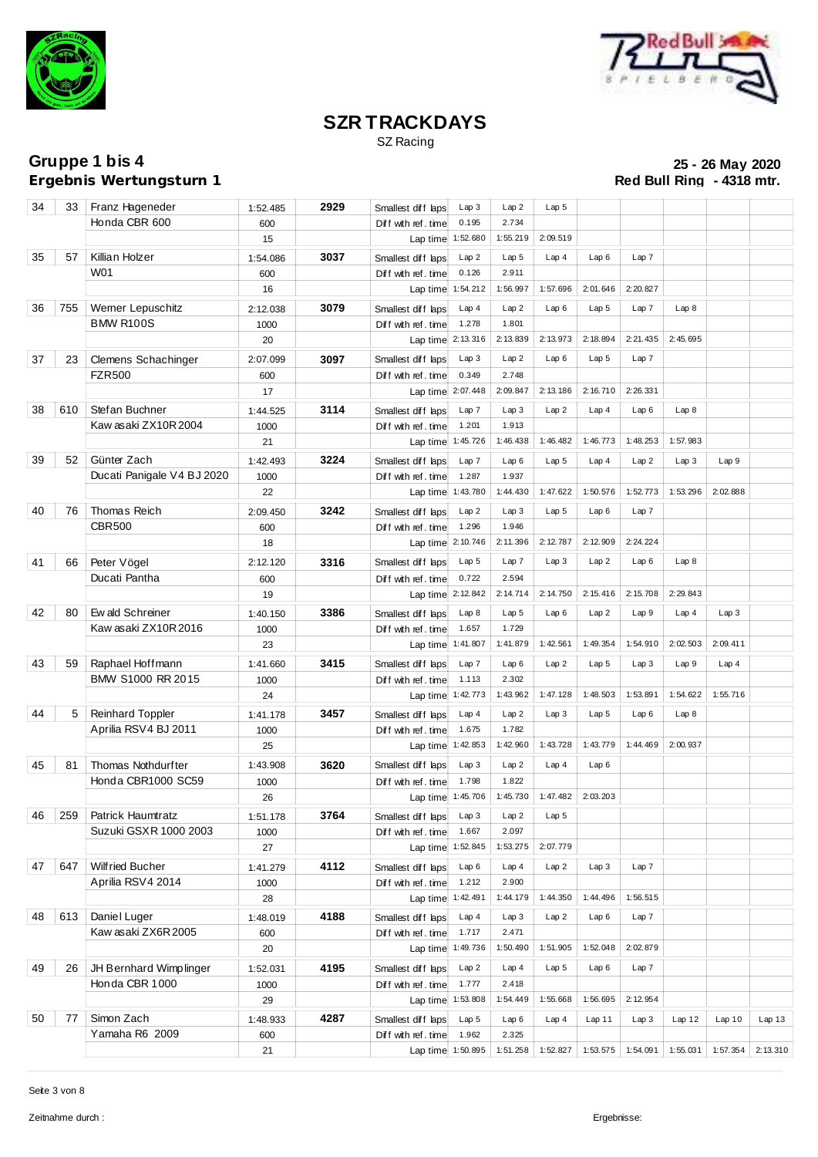



SZ Racing

**Ergebnis Wertungsturn 1** 

| 34 |     | 33   Franz Hageneder                 | 1:52.485        | 2929 | Smallest diff laps                       | Lap 3             | Lap2              | Lap <sub>5</sub> |                     |          |          |          |                   |
|----|-----|--------------------------------------|-----------------|------|------------------------------------------|-------------------|-------------------|------------------|---------------------|----------|----------|----------|-------------------|
|    |     | Honda CBR 600                        | 600             |      | Diff with ref. time                      | 0.195             | 2.734             |                  |                     |          |          |          |                   |
|    |     |                                      | 15              |      |                                          | Lap time 1:52.680 | 1:55.219          | 2:09.519         |                     |          |          |          |                   |
| 35 | 57  | Killian Holzer                       | 1:54.086        | 3037 | Smallest diff laps                       | Lap2              | Lap <sub>5</sub>  | Lap4             | Lap6                | Lap 7    |          |          |                   |
|    |     | W01                                  | 600             |      | Diff with ref. time                      | 0.126             | 2.911             |                  |                     |          |          |          |                   |
|    |     |                                      | 16              |      | Lap time 1:54.212                        |                   | 1:56.997          | 1:57.696         | 2:01.646            | 2:20.827 |          |          |                   |
| 36 | 755 | Werner Lepuschitz                    | 2:12.038        | 3079 | Smallest diff laps                       | Lap4              | Lap2              | Lap6             | Lap <sub>5</sub>    | Lap 7    | Lap8     |          |                   |
|    |     | <b>BMW R100S</b>                     | 1000            |      | Diff with ref. time                      | 1.278             | 1.801             |                  |                     |          |          |          |                   |
|    |     |                                      | 20              |      |                                          | Lap time 2:13.316 | 2:13.839          | 2:13.973         | 2:18.894            | 2:21.435 | 2:45.695 |          |                   |
| 37 |     |                                      |                 | 3097 | Smallest diff laps                       | Lap3              | Lap2              | Lap6             | Lap <sub>5</sub>    | Lap 7    |          |          |                   |
|    | 23  | Clemens Schachinger<br><b>FZR500</b> | 2:07.099<br>600 |      | Diff with ref. time                      | 0.349             | 2.748             |                  |                     |          |          |          |                   |
|    |     |                                      | 17              |      | Lap time 2:07.448                        |                   | 2:09.847          | 2:13.186         | 2:16.710            | 2:26.331 |          |          |                   |
| 38 | 610 | Stefan Buchner                       |                 | 3114 |                                          | Lap 7             | Lap3              | Lap2             | Lap4                | Lap6     | Lap8     |          |                   |
|    |     | Kaw asaki ZX10R2004                  | 1:44.525        |      | Smallest diff laps                       | 1.201             | 1.913             |                  |                     |          |          |          |                   |
|    |     |                                      | 1000<br>21      |      | Diff with ref. time                      | Lap time 1:45.726 | 1:46.438          | 1:46.482         | 1:46.773            | 1:48.253 | 1:57.983 |          |                   |
|    |     |                                      |                 |      |                                          |                   |                   |                  |                     |          |          |          |                   |
| 39 | 52  | Günter Zach                          | 1:42.493        | 3224 | Smallest diff laps                       | Lap 7             | Lap6              | Lap <sub>5</sub> | Lap4                | Lap2     | Lap3     | Lap9     |                   |
|    |     | Ducati Panigale V4 BJ 2020           | 1000            |      | Diff with ref. time                      | 1.287             | 1.937             |                  |                     |          |          |          |                   |
|    |     |                                      | 22              |      | Lap time 1:43.780                        |                   | 1:44.430          | 1:47.622         | 1:50.576            | 1:52.773 | 1:53.296 | 2:02.888 |                   |
| 40 | 76  | Thomas Reich                         | 2:09.450        | 3242 | Smallest diff laps                       | Lap2              | Lap3              | Lap <sub>5</sub> | Lap6                | Lap 7    |          |          |                   |
|    |     | <b>CBR500</b>                        | 600             |      | Diff with ref. time                      | 1.296             | 1.946             |                  |                     |          |          |          |                   |
|    |     |                                      | 18              |      |                                          | Lap time 2:10.746 | 2:11.396          | 2:12.787         | 2:12.909            | 2:24.224 |          |          |                   |
| 41 | 66  | Peter Vögel                          | 2:12.120        | 3316 | Smallest diff laps                       | Lap <sub>5</sub>  | Lap7              | Lap3             | Lap2                | Lap6     | Lap8     |          |                   |
|    |     | Ducati Pantha                        | 600             |      | Diff with ref. time                      | 0.722             | 2.594             |                  |                     |          |          |          |                   |
|    |     |                                      | 19              |      |                                          | Lap time 2:12.842 | 2:14.714          | 2:14.750         | 2:15.416            | 2:15.708 | 2:29.843 |          |                   |
| 42 | 80  | Ew ald Schreiner                     | 1:40.150        | 3386 | Smallest diff laps                       | Lap 8             | Lap <sub>5</sub>  | Lap6             | Lap2                | Lap9     | Lap4     | Lap3     |                   |
|    |     | Kaw asaki ZX10R 2016                 | 1000            |      | Diff with ref. time                      | 1.657             | 1.729             |                  |                     |          |          |          |                   |
|    |     |                                      | 23              |      | Lap time 1:41.807                        |                   | 1:41.879          | 1:42.561         | 1:49.354            | 1:54.910 | 2:02.503 | 2:09.411 |                   |
| 43 | 59  | Raphael Hoffmann                     | 1:41.660        | 3415 | Smallest diff laps                       | Lap 7             | Lap6              | Lap2             | Lap <sub>5</sub>    | Lap3     | Lap 9    | Lap4     |                   |
|    |     | BMW S1000 RR 2015                    | 1000            |      | Diff with ref. time                      | 1.113             | 2.302             |                  |                     |          |          |          |                   |
|    |     |                                      | 24              |      |                                          | Lap time 1:42.773 | 1:43.962          | 1:47.128         | 1:48.503            | 1:53.891 | 1:54.622 | 1:55.716 |                   |
| 44 | 5   | <b>Reinhard Toppler</b>              | 1:41.178        | 3457 | Smallest diff laps                       | Lap4              | Lap2              | Lap3             | Lap <sub>5</sub>    | Lap6     | Lap8     |          |                   |
|    |     | Aprilia RSV4 BJ 2011                 | 1000            |      | Diff with ref. time                      | 1.675             | 1.782             |                  |                     |          |          |          |                   |
|    |     |                                      | 25              |      | Lap time 1:42.853                        |                   | 1:42.960          | 1:43.728         | 1:43.779            | 1:44.469 | 2:00.937 |          |                   |
| 45 | 81  | Thomas Nothdurfter                   | 1:43.908        | 3620 | Smallest diff laps                       | Lap 3             | Lap2              | Lap4             | Lap6                |          |          |          |                   |
|    |     | Honda CBR1000 SC59                   | 1000            |      | Diff with ref. time                      | 1.798             | 1.822             |                  |                     |          |          |          |                   |
|    |     |                                      | 26              |      |                                          | Lap time 1:45.706 | 1:45.730          |                  | $1:47.482$ 2:03.203 |          |          |          |                   |
|    |     |                                      |                 |      |                                          |                   |                   |                  |                     |          |          |          |                   |
|    |     | 46 259 Patrick Haumtratz             | 1:51.178        | 3764 | Smallest diff laps Lap 3   Lap 2   Lap 5 |                   |                   |                  |                     |          |          |          |                   |
|    |     | Suzuki GSXR 1000 2003                | 1000<br>27      |      | Diff with ref. time<br>Lap time 1:52.845 | 1.667             | 2.097<br>1:53.275 | 2:07.779         |                     |          |          |          |                   |
|    |     |                                      |                 |      |                                          |                   |                   |                  |                     |          |          |          |                   |
| 47 | 647 | Wilfried Bucher                      | 1:41.279        | 4112 | Smallest diff laps                       | Lap6              | Lap4              | Lap2             | Lap3                | Lap7     |          |          |                   |
|    |     | Aprilia RSV4 2014                    | 1000            |      | Diff with ref. time                      | 1.212             | 2.900             |                  |                     |          |          |          |                   |
|    |     |                                      | 28              |      | Lap time 1:42.491                        |                   | 1:44.179          | 1:44.350         | 1:44.496            | 1:56.515 |          |          |                   |
| 48 | 613 | Daniel Luger                         | 1:48.019        | 4188 | Smallest diff laps                       | Lap4              | Lap3              | Lap2             | Lap6                | Lap7     |          |          |                   |
|    |     | Kaw asaki ZX6R 2005                  | 600             |      | Diff with ref. time                      | 1.717             | 2.471             |                  |                     |          |          |          |                   |
|    |     |                                      | 20              |      | Lap time 1:49.736                        |                   | 1:50.490          | 1:51.905         | 1:52.048            | 2:02.879 |          |          |                   |
| 49 | 26  | JH Bernhard Wimplinger               | 1:52.031        | 4195 | Smallest diff laps                       | Lap2              | Lap4              | Lap <sub>5</sub> | Lap6                | Lap7     |          |          |                   |
|    |     | Honda CBR 1000                       | 1000            |      | Diff with ref. time                      | 1.777             | 2.418             |                  |                     |          |          |          |                   |
|    |     |                                      | 29              |      | Lap time 1:53.808                        |                   | 1:54.449          | 1:55.668         | 1:56.695            | 2:12.954 |          |          |                   |
| 50 | 77  | Simon Zach                           | 1:48.933        | 4287 | Smallest diff laps                       | Lap 5             | Lap6              | Lap4             | Lap11               | Lap3     | Lap12    | Lap10    | Lap <sub>13</sub> |
|    |     | Yamaha R6 2009                       | 600             |      | Diff with ref. time                      | 1.962             | 2.325             |                  |                     |          |          |          |                   |
|    |     |                                      | 21              |      |                                          | Lap time 1:50.895 | 1:51.258          | 1:52.827         | 1:53.575            | 1:54.091 | 1:55.031 | 1:57.354 | 2:13.310          |
|    |     |                                      |                 |      |                                          |                   |                   |                  |                     |          |          |          |                   |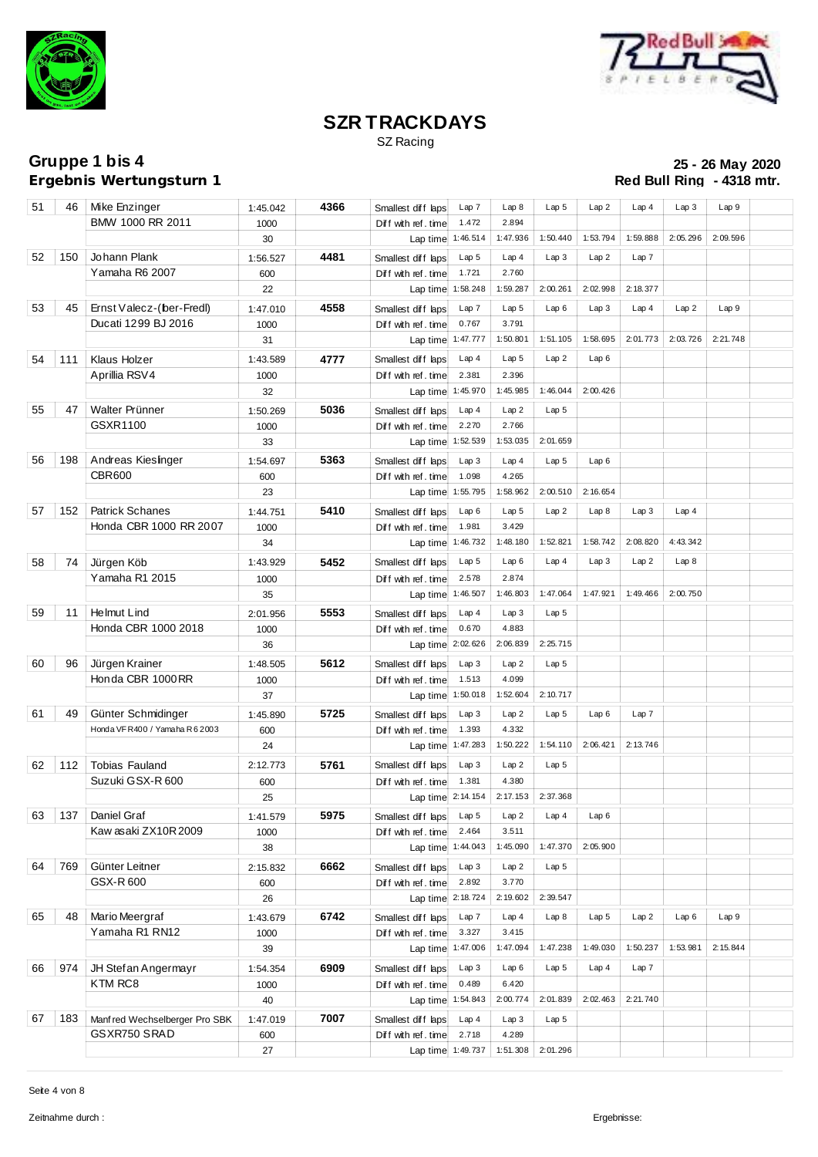



SZ Racing

**Ergebnis Wertungsturn 1** 

# **Gruppe 1 bis 4 25 - 26 May 2020**

| 51 | 46  | Mike Enzinger                   | 1:45.042         | 4366 | Smallest diff laps                        | Lap 7             | Lap 8                     | Lap <sub>5</sub> | Lap2             | Lap4     | Lap3     | Lap 9    |  |
|----|-----|---------------------------------|------------------|------|-------------------------------------------|-------------------|---------------------------|------------------|------------------|----------|----------|----------|--|
|    |     | BMW 1000 RR 2011                | 1000             |      | Diff with ref.time                        | 1.472             | 2.894                     |                  |                  |          |          |          |  |
|    |     |                                 | 30               |      | Lap time 1:46.514                         |                   | 1:47.936                  | 1:50.440         | 1:53.794         | 1:59.888 | 2:05.296 | 2:09.596 |  |
| 52 | 150 | Johann Plank                    | 1:56.527         | 4481 | Smallest diff laps                        | Lap <sub>5</sub>  | Lap4                      | Lap3             | Lap2             | Lap 7    |          |          |  |
|    |     | Yamaha R6 2007                  | 600              |      | Diff with ref.time                        | 1.721             | 2.760                     |                  |                  |          |          |          |  |
|    |     |                                 | 22               |      | Lap time 1:58.248                         |                   | 1:59.287                  | 2:00.261         | 2:02.998         | 2:18.377 |          |          |  |
| 53 | 45  | Ernst Valecz-(ber-Fredl)        | 1:47.010         | 4558 | Smallest diff laps                        | Lap 7             | Lap <sub>5</sub>          | Lap6             | Lap3             | Lap4     | Lap2     | Lap9     |  |
|    |     | Ducati 1299 BJ 2016             | 1000             |      | Diff with ref. time                       | 0.767             | 3.791                     |                  |                  |          |          |          |  |
|    |     |                                 | 31               |      | Lap time 1:47.777                         |                   | 1:50.801                  | 1:51.105         | 1:58.695         | 2:01.773 | 2:03.726 | 2:21.748 |  |
| 54 | 111 | Klaus Holzer                    | 1:43.589         | 4777 | Smallest diff laps                        | Lap4              | Lap <sub>5</sub>          | Lap2             | Lap6             |          |          |          |  |
|    |     | Aprillia RSV4                   | 1000             |      | Diff with ref. time                       | 2.381             | 2.396                     |                  |                  |          |          |          |  |
|    |     |                                 | 32               |      | Lap time 1:45.970                         |                   | 1:45.985                  | 1:46.044         | 2:00.426         |          |          |          |  |
| 55 | 47  | Walter Prünner                  | 1:50.269         | 5036 | Smallest diff laps                        | Lap4              | Lap2                      | Lap <sub>5</sub> |                  |          |          |          |  |
|    |     | GSXR1100                        | 1000             |      | Diff with ref. time                       | 2.270             | 2.766                     |                  |                  |          |          |          |  |
|    |     |                                 | 33               |      | Lap time 1:52.539                         |                   | 1:53.035                  | 2:01.659         |                  |          |          |          |  |
| 56 | 198 | Andreas Kieslinger              | 1:54.697         | 5363 | Smallest diff laps                        | Lap3              | Lap4                      | Lap <sub>5</sub> | Lap6             |          |          |          |  |
|    |     | <b>CBR600</b>                   | 600              |      | Diff with ref. time                       | 1.098             | 4.265                     |                  |                  |          |          |          |  |
|    |     |                                 | 23               |      | Lap time 1:55.795                         |                   | 1:58.962                  | 2:00.510         | 2:16.654         |          |          |          |  |
| 57 | 152 | Patrick Schanes                 |                  | 5410 |                                           |                   |                           | Lap2             | Lap8             | Lap3     |          |          |  |
|    |     | Honda CBR 1000 RR 2007          | 1:44.751<br>1000 |      | Smallest diff laps<br>Diff with ref. time | Lap6<br>1.981     | Lap <sub>5</sub><br>3.429 |                  |                  |          | Lap4     |          |  |
|    |     |                                 | 34               |      | Lap time 1:46.732                         |                   | 1:48.180                  | 1:52.821         | 1:58.742         | 2:08.820 | 4:43.342 |          |  |
|    |     |                                 |                  |      |                                           |                   |                           |                  |                  |          |          |          |  |
| 58 | 74  | Jürgen Köb                      | 1:43.929         | 5452 | Smallest diff laps                        | Lap <sub>5</sub>  | Lap6                      | Lap4             | Lap3             | Lap2     | Lap8     |          |  |
|    |     | Yamaha R1 2015                  | 1000             |      | Diff with ref. time                       | 2.578             | 2.874<br>1:46.803         | 1:47.064         | 1:47.921         | 1:49.466 | 2:00.750 |          |  |
|    |     |                                 | 35               |      | Lap time 1:46.507                         |                   |                           |                  |                  |          |          |          |  |
| 59 | 11  | Helmut Lind                     | 2:01.956         | 5553 | Smallest diff laps                        | Lap4              | Lap3                      | Lap <sub>5</sub> |                  |          |          |          |  |
|    |     | Honda CBR 1000 2018             | 1000             |      | Diff with ref. time                       | 0.670             | 4.883                     |                  |                  |          |          |          |  |
|    |     |                                 | 36               |      | Lap time 2:02.626                         |                   | 2:06.839                  | 2:25.715         |                  |          |          |          |  |
| 60 | 96  | Jürgen Krainer                  | 1:48.505         | 5612 | Smallest diff laps                        | Lap <sub>3</sub>  | Lap2                      | Lap <sub>5</sub> |                  |          |          |          |  |
|    |     | Honda CBR 1000RR                | 1000             |      | Diff with ref. time                       | 1.513             | 4.099                     |                  |                  |          |          |          |  |
|    |     |                                 | 37               |      |                                           | Lap time 1:50.018 | 1:52.604                  | 2:10.717         |                  |          |          |          |  |
| 61 | 49  | Günter Schmidinger              | 1:45.890         | 5725 | Smallest diff laps                        | Lap3              | Lap2                      | Lap <sub>5</sub> | Lap6             | Lap 7    |          |          |  |
|    |     | Honda VF R400 / Yamaha R 6 2003 | 600              |      | Diff with ref. time                       | 1.393             | 4.332                     |                  |                  |          |          |          |  |
|    |     |                                 | 24               |      | Lap time 1:47.283                         |                   | 1:50.222                  | 1:54.110         | 2:06.421         | 2:13.746 |          |          |  |
| 62 | 112 | <b>Tobias Fauland</b>           | 2:12.773         | 5761 | Smallest diff laps                        | Lap3              | Lap2                      | Lap <sub>5</sub> |                  |          |          |          |  |
|    |     | Suzuki GSX-R 600                | 600              |      | Diff with ref. time                       | 1.381             | 4.380                     |                  |                  |          |          |          |  |
|    |     |                                 | 25               |      |                                           | Lap time 2:14.154 | 2:17.153                  | 2:37.368         |                  |          |          |          |  |
|    |     | 63 137 Daniel Graf              | 1:41.579         | 5975 | Smallestdiff Laps Lap 5 Lap 2 Lap 4 Lap 6 |                   |                           |                  |                  |          |          |          |  |
|    |     | Kaw asaki ZX10R2009             | 1000             |      | Diff with ref. time                       | 2.464             | 3.511                     |                  |                  |          |          |          |  |
|    |     |                                 | 38               |      | Lap time 1:44.043                         |                   | 1:45.090                  | 1:47.370         | 2:05.900         |          |          |          |  |
| 64 | 769 | Günter Leitner                  | 2:15.832         | 6662 | Smallest diff laps                        | Lap3              | Lap2                      | Lap <sub>5</sub> |                  |          |          |          |  |
|    |     | GSX-R 600                       | 600              |      | Diff with ref. time                       | 2.892             | 3.770                     |                  |                  |          |          |          |  |
|    |     |                                 | 26               |      | Lap time 2:18.724                         |                   | 2:19.602                  | 2:39.547         |                  |          |          |          |  |
| 65 | 48  | Mario Meergraf                  | 1:43.679         | 6742 | Smallest diff laps                        | Lap 7             | Lap4                      | Lap8             | Lap <sub>5</sub> | Lap2     | Lap6     | Lap9     |  |
|    |     | Yamaha R1 RN12                  | 1000             |      | Diff with ref. time                       | 3.327             | 3.415                     |                  |                  |          |          |          |  |
|    |     |                                 | 39               |      | Lap time 1:47.006                         |                   | 1:47.094                  | 1:47.238         | 1:49.030         | 1:50.237 | 1:53.981 | 2:15.844 |  |
| 66 | 974 | JH Stefan Angermayr             | 1:54.354         | 6909 | Smallest diff laps                        | Lap3              | Lap6                      | Lap <sub>5</sub> | Lap4             | Lap 7    |          |          |  |
|    |     | KTM RC8                         | 1000             |      | Diff with ref. time                       | 0.489             | 6.420                     |                  |                  |          |          |          |  |
|    |     |                                 | 40               |      |                                           | Lap time 1:54.843 | 2:00.774                  | 2:01.839         | 2:02.463         | 2:21.740 |          |          |  |
| 67 | 183 | Manf red Wechselberger Pro SBK  | 1:47.019         | 7007 | Smallest diff laps                        | Lap4              | Lap3                      | Lap <sub>5</sub> |                  |          |          |          |  |
|    |     | GSXR750 SRAD                    | 600              |      | Diff with ref. time                       | 2.718             | 4.289                     |                  |                  |          |          |          |  |
|    |     |                                 | 27               |      | Lap time 1:49.737                         |                   | 1:51.308                  | 2:01.296         |                  |          |          |          |  |
|    |     |                                 |                  |      |                                           |                   |                           |                  |                  |          |          |          |  |

Seite 4 von 8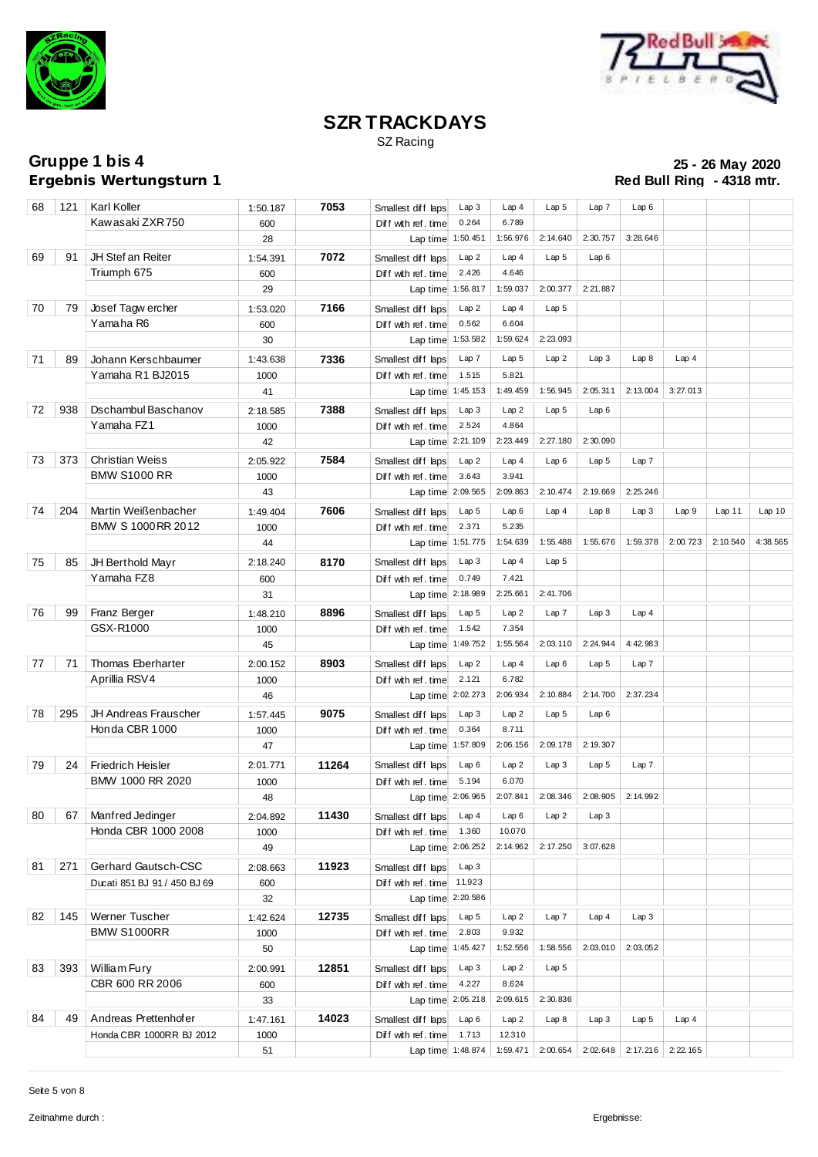



SZ Racing

**Ergebnis Wertungsturn 1** 

**Gruppe 1 bis 4 25 - 26 May 2020**

| 68 | 121  | Karl Koller                  | 1:50.187         | 7053  | Smallest diff laps                       | Lap3              | Lap4             | Lap <sub>5</sub> | Lap7                | Lap6             |          |          |          |
|----|------|------------------------------|------------------|-------|------------------------------------------|-------------------|------------------|------------------|---------------------|------------------|----------|----------|----------|
|    |      | Kawasaki ZXR 750             | 600              |       | Diff with ref. time                      | 0.264             | 6.789            |                  |                     |                  |          |          |          |
|    |      |                              | 28               |       | Lap time 1:50.451                        |                   | 1:56.976         | 2:14.640         | 2:30.757            | 3:28.646         |          |          |          |
| 69 | 91   | JH Stef an Reiter            | 1:54.391         | 7072  | Smallest diff laps                       | Lap2              | Lap4             | Lap <sub>5</sub> | Lap6                |                  |          |          |          |
|    |      | Triumph 675                  | 600              |       | Diff with ref. time                      | 2.426             | 4.646            |                  |                     |                  |          |          |          |
|    |      |                              | 29               |       | Lap time 1:56.817                        |                   | 1:59.037         | 2:00.377         | 2:21.887            |                  |          |          |          |
| 70 | 79   | Josef Tagw ercher            | 1:53.020         | 7166  | Smallest diff laps                       | Lap2              | Lap4             | Lap <sub>5</sub> |                     |                  |          |          |          |
|    |      | Yamaha R6                    | 600              |       | Diff with ref. time                      | 0.562             | 6.604            |                  |                     |                  |          |          |          |
|    |      |                              | 30               |       | Lap time                                 | 1:53.582          | 1:59.624         | 2:23.093         |                     |                  |          |          |          |
| 71 | 89   | Johann Kerschbaumer          | 1:43.638         | 7336  | Smallest diff laps                       | Lap 7             | Lap <sub>5</sub> | Lap2             | Lap3                | Lap 8            | Lap4     |          |          |
|    |      | Yamaha R1 BJ2015             | 1000             |       | Diff with ref. time                      | 1.515             | 5.821            |                  |                     |                  |          |          |          |
|    |      |                              | 41               |       | Lap time 1:45.153                        |                   | 1:49.459         | 1:56.945         | 2:05.311            | 2:13.004         | 3:27.013 |          |          |
| 72 | 938  | Dschambul Baschanov          | 2:18.585         | 7388  | Smallest diff laps                       | Lap 3             | Lap2             | Lap <sub>5</sub> | Lap6                |                  |          |          |          |
|    |      | Yamaha FZ1                   | 1000             |       | Diff with ref. time                      | 2.524             | 4.864            |                  |                     |                  |          |          |          |
|    |      |                              | 42               |       | Lap time 2:21.109                        |                   | 2:23.449         | 2:27.180         | 2:30.090            |                  |          |          |          |
| 73 | 373  | <b>Christian Weiss</b>       |                  | 7584  |                                          |                   |                  |                  |                     |                  |          |          |          |
|    |      | <b>BMW S1000 RR</b>          | 2:05.922         |       | Smallest diff laps                       | Lap2<br>3.643     | Lap4<br>3.941    | Lap6             | Lap <sub>5</sub>    | Lap 7            |          |          |          |
|    |      |                              | 1000<br>43       |       | Diff with ref. time<br>Lap time 2:09.565 |                   | 2:09.863         | 2:10.474         | 2:19.669            | 2:25.246         |          |          |          |
|    |      |                              |                  |       |                                          |                   |                  |                  |                     |                  |          |          |          |
| 74 | 204  | Martin Weißenbacher          | 1:49.404         | 7606  | Smallest diff laps                       | Lap <sub>5</sub>  | Lap6             | Lap4             | Lap8                | Lap3             | Lap9     | Lap11    | Lap10    |
|    |      | BMW S 1000 RR 2012           | 1000             |       | Diff with ref. time                      | 2.371             | 5.235            |                  |                     |                  | 2:00.723 | 2:10.540 |          |
|    |      |                              | 44               |       | Lap time 1:51.775                        |                   | 1:54.639         | 1:55.488         | 1:55.676            | 1:59.378         |          |          | 4:38.565 |
| 75 | 85   | JH Berthold Mayr             | 2:18.240         | 8170  | Smallest diff laps                       | Lap3              | Lap4             | Lap <sub>5</sub> |                     |                  |          |          |          |
|    |      | Yamaha FZ8                   | 600              |       | Diff with ref. time                      | 0.749             | 7.421            |                  |                     |                  |          |          |          |
|    |      |                              | 31               |       |                                          | Lap time 2:18.989 | 2:25.661         | 2:41.706         |                     |                  |          |          |          |
| 76 | 99   | Franz Berger                 | 1:48.210         | 8896  | Smallest diff laps                       | Lap <sub>5</sub>  | Lap2             | Lap 7            | Lap3                | Lap4             |          |          |          |
|    |      | GSX-R1000                    | 1000             |       | Diff with ref. time                      | 1.542             | 7.354            |                  |                     |                  |          |          |          |
|    |      |                              | 45               |       | Lap time 1:49.752                        |                   | 1:55.564         | 2:03.110         | 2:24.944            | 4:42.983         |          |          |          |
| 77 | 71 I | Thomas Eberharter            | 2:00.152         | 8903  | Smallest diff laps                       | Lap 2             | Lap4             | Lap6             | Lap <sub>5</sub>    | Lap 7            |          |          |          |
|    |      | Aprillia RSV4                | 1000             |       | Diff with ref. time                      | 2.121             | 6.782            |                  |                     |                  |          |          |          |
|    |      |                              | 46               |       |                                          | Lap time 2:02.273 | 2:06.934         | 2:10.884         | 2:14.700            | 2:37.234         |          |          |          |
| 78 | 295  | JH Andreas Frauscher         | 1:57.445         | 9075  | Smallest diff laps                       | Lap3              | Lap2             | Lap <sub>5</sub> | Lap6                |                  |          |          |          |
|    |      | Honda CBR 1000               | 1000             |       | Diff with ref. time                      | 0.364             | 8.711            |                  |                     |                  |          |          |          |
|    |      |                              | 47               |       | Lap time 1:57.809                        |                   | 2:06.156         | 2:09.178         | 2:19.307            |                  |          |          |          |
| 79 | 24   | <b>Friedrich Heisler</b>     | 2:01.771         | 11264 | Smallest diff laps                       | Lap6              | Lap2             | Lap3             | Lap <sub>5</sub>    | Lap 7            |          |          |          |
|    |      | BMW 1000 RR 2020             | 1000             |       | Diff with ref. time                      | 5.194             | 6.070            |                  |                     |                  |          |          |          |
|    |      |                              | 48               |       |                                          | Lap time 2:06.965 | 2:07.841         |                  | $2:08.346$ 2:08.905 | 2:14.992         |          |          |          |
|    |      | 80 67   Manfred Jedinger     | 2:04.892         | 11430 | Smallest diff laps Lap 4   Lap 6   Lap 2 |                   |                  |                  | Lap3                |                  |          |          |          |
|    |      | Honda CBR 1000 2008          | 1000             |       | Diff with ref. time                      | 1.360             | 10.070           |                  |                     |                  |          |          |          |
|    |      |                              | 49               |       | Lap time 2:06.252                        |                   | 2:14.962         | 2:17.250         | 3:07.628            |                  |          |          |          |
| 81 | 271  | Gerhard Gautsch-CSC          | 2:08.663         | 11923 | Smallest diff laps                       | Lap <sub>3</sub>  |                  |                  |                     |                  |          |          |          |
|    |      | Ducati 851 BJ 91 / 450 BJ 69 | 600              |       | Diff with ref. time 11.923               |                   |                  |                  |                     |                  |          |          |          |
|    |      |                              | 32               |       | Lap time 2:20.586                        |                   |                  |                  |                     |                  |          |          |          |
| 82 | 145  | Werner Tuscher               | 1:42.624         | 12735 | Smallest diff laps                       | Lap <sub>5</sub>  | Lap2             | Lap7             | Lap <sub>4</sub>    | Lap3             |          |          |          |
|    |      | <b>BMW S1000RR</b>           | 1000             |       | Diff with ref. time                      | 2.803             | 9.932            |                  |                     |                  |          |          |          |
|    |      |                              | 50               |       | Lap time 1:45.427                        |                   | 1:52.556         | 1:58.556         | 2:03.010            | 2:03.052         |          |          |          |
| 83 | 393  | William Fury                 | 2:00.991         | 12851 | Smallest diff laps                       | Lap3              | Lap2             | Lap <sub>5</sub> |                     |                  |          |          |          |
|    |      | CBR 600 RR 2006              | 600              |       | Diff with ref. time                      | 4.227             | 8.624            |                  |                     |                  |          |          |          |
|    |      |                              | 33               |       |                                          | Lap time 2:05.218 | 2:09.615         | 2:30.836         |                     |                  |          |          |          |
| 84 | 49   | Andreas Prettenhofer         |                  | 14023 | Smallest diff laps                       | Lap6              | Lap2             | Lap8             | Lap3                | Lap <sub>5</sub> | Lap4     |          |          |
|    |      | Honda CBR 1000RR BJ 2012     | 1:47.161<br>1000 |       | Diff with ref. time                      | 1.713             | 12.310           |                  |                     |                  |          |          |          |
|    |      |                              | 51               |       | Lap time 1:48.874                        |                   | 1:59.471         | 2:00.654         | 2:02.648            | 2:17.216         | 2:22.165 |          |          |
|    |      |                              |                  |       |                                          |                   |                  |                  |                     |                  |          |          |          |

Seite 5 von 8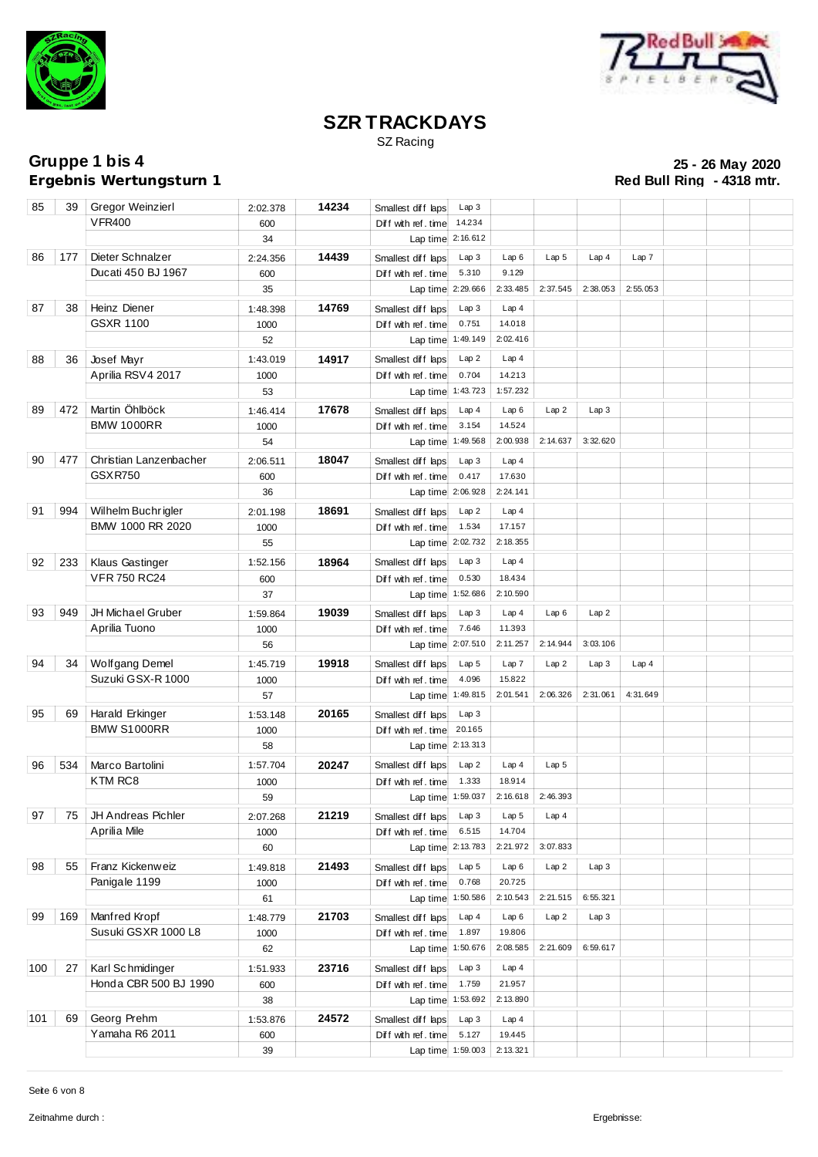



SZ Racing

**Ergebnis Wertungsturn 1** 

| 85  | 39  | Gregor Weinzierl                     | 2:02.378         | 14234 | Smallest diff laps                        | Lap 3                     |                         |                  |          |          |  |  |
|-----|-----|--------------------------------------|------------------|-------|-------------------------------------------|---------------------------|-------------------------|------------------|----------|----------|--|--|
|     |     | <b>VFR400</b>                        | 600              |       | Diff with ref. time                       | 14.234                    |                         |                  |          |          |  |  |
|     |     |                                      | 34               |       | Lap time 2:16.612                         |                           |                         |                  |          |          |  |  |
| 86  | 177 | Dieter Schnalzer                     | 2:24.356         | 14439 | Smallest diff laps                        | Lap3                      | Lap6                    | Lap <sub>5</sub> | Lap4     | Lap 7    |  |  |
|     |     | Ducati 450 BJ 1967                   | 600              |       | Diff with ref. time                       | 5.310                     | 9.129                   |                  |          |          |  |  |
|     |     |                                      | 35               |       | Lap time 2:29.666                         |                           | 2:33.485                | 2:37.545         | 2:38.053 | 2:55.053 |  |  |
| 87  | 38  | Heinz Diener                         | 1:48.398         | 14769 | Smallest diff laps                        | Lap3                      | Lap4                    |                  |          |          |  |  |
|     |     | <b>GSXR 1100</b>                     | 1000             |       | Diff with ref. time                       | 0.751                     | 14.018                  |                  |          |          |  |  |
|     |     |                                      | 52               |       | Lap time 1:49.149                         |                           | 2:02.416                |                  |          |          |  |  |
| 88  | 36  | Josef Mayr                           | 1:43.019         | 14917 | Smallest diff laps                        | Lap2                      | Lap4                    |                  |          |          |  |  |
|     |     | Aprilia RSV4 2017                    | 1000             |       | Diff with ref. time                       | 0.704                     | 14.213                  |                  |          |          |  |  |
|     |     |                                      | 53               |       | Lap time 1:43.723                         |                           | 1:57.232                |                  |          |          |  |  |
| 89  | 472 | Martin Öhlböck                       | 1:46.414         | 17678 | Smallest diff laps                        | Lap4                      | Lap6                    | Lap2             | Lap 3    |          |  |  |
|     |     | <b>BMW 1000RR</b>                    | 1000             |       | Diff with ref. time                       | 3.154                     | 14.524                  |                  |          |          |  |  |
|     |     |                                      | 54               |       | Lap time 1:49.568                         |                           | 2:00.938                | 2:14.637         | 3:32.620 |          |  |  |
| 90  | 477 | Christian Lanzenbacher               | 2:06.511         | 18047 | Smallest diff laps                        | Lap3                      | Lap4                    |                  |          |          |  |  |
|     |     | <b>GSXR750</b>                       | 600              |       | Diff with ref. time                       | 0.417                     | 17.630                  |                  |          |          |  |  |
|     |     |                                      | 36               |       | Lap time 2:06.928                         |                           | 2:24.141                |                  |          |          |  |  |
| 91  | 994 | Wilhelm Buchrigler                   | 2:01.198         | 18691 | Smallest diff laps                        | Lap2                      | Lap4                    |                  |          |          |  |  |
|     |     | BMW 1000 RR 2020                     | 1000             |       | Diff with ref. time                       | 1.534                     | 17.157                  |                  |          |          |  |  |
|     |     |                                      | 55               |       | Lap time 2:02.732                         |                           | 2:18.355                |                  |          |          |  |  |
| 92  | 233 | <b>Klaus Gastinger</b>               | 1:52.156         | 18964 | Smallest diff laps                        | Lap3                      | Lap4                    |                  |          |          |  |  |
|     |     | <b>VFR 750 RC24</b>                  | 600              |       | Diff with ref. time                       | 0.530                     | 18.434                  |                  |          |          |  |  |
|     |     |                                      | 37               |       | Lap time 1:52.686                         |                           | 2:10.590                |                  |          |          |  |  |
| 93  | 949 | <b>JH Michael Gruber</b>             |                  | 19039 |                                           | Lap3                      | Lap4                    | Lap6             | Lap 2    |          |  |  |
|     |     | Aprilia Tuono                        | 1:59.864<br>1000 |       | Smallest diff laps<br>Diff with ref. time | 7.646                     | 11.393                  |                  |          |          |  |  |
|     |     |                                      | 56               |       | Lap time 2:07.510                         |                           | 2:11.257                | 2:14.944         | 3:03.106 |          |  |  |
| 94  | 34  | Wolfgang Demel                       |                  | 19918 |                                           | Lap <sub>5</sub>          | Lap7                    | Lap2             | Lap3     |          |  |  |
|     |     | Suzuki GSX-R 1000                    | 1:45.719<br>1000 |       | Smallest diff laps<br>Diff with ref. time | 4.096                     | 15.822                  |                  |          | Lap4     |  |  |
|     |     |                                      | 57               |       | Lap time 1:49.815                         |                           | 2:01.541                | 2:06.326         | 2:31.061 | 4:31.649 |  |  |
| 95  | 69  | Harald Erkinger                      |                  | 20165 |                                           | Lap3                      |                         |                  |          |          |  |  |
|     |     | <b>BMW S1000RR</b>                   | 1:53.148<br>1000 |       | Smallest diff laps<br>Diff with ref. time | 20.165                    |                         |                  |          |          |  |  |
|     |     |                                      | 58               |       | Lap time 2:13.313                         |                           |                         |                  |          |          |  |  |
| 96  | 534 | Marco Bartolini                      |                  | 20247 |                                           | Lap2                      | Lap4                    | Lap <sub>5</sub> |          |          |  |  |
|     |     | KTM RC8                              | 1:57.704<br>1000 |       | Smallest diff laps                        | 1.333                     | 18.914                  |                  |          |          |  |  |
|     |     |                                      | 59               |       | Diff with ref. time<br>Lap time 1:59.037  |                           | 2:16.618                | 2:46.393         |          |          |  |  |
| 97  |     | 75   JH Andreas Pichler              |                  | 21219 | Smallest diff laps Lap 3                  |                           |                         |                  |          |          |  |  |
|     |     | Aprilia Mile                         | 2:07.268         |       |                                           | 6.515                     | Lap 5 $\vert$<br>14.704 | Lap 4            |          |          |  |  |
|     |     |                                      | 1000<br>60       |       | Diff with ref. time<br>Lap time 2:13.783  |                           | 2:21.972                | 3:07.833         |          |          |  |  |
| 98  | 55  | Franz Kickenweiz                     |                  | 21493 |                                           |                           |                         |                  | Lap3     |          |  |  |
|     |     | Panigale 1199                        | 1:49.818<br>1000 |       | Smallest diff laps<br>Diff with ref. time | Lap <sub>5</sub><br>0.768 | Lap6<br>20.725          | Lap2             |          |          |  |  |
|     |     |                                      | 61               |       | Lap time 1:50.586                         |                           | 2:10.543                | 2:21.515         | 6:55.321 |          |  |  |
| 99  |     |                                      |                  |       |                                           |                           |                         |                  |          |          |  |  |
|     | 169 | Manfred Kropf<br>Susuki GSXR 1000 L8 | 1:48.779         | 21703 | Smallest diff laps                        | Lap4<br>1.897             | Lap6<br>19.806          | Lap2             | Lap3     |          |  |  |
|     |     |                                      | 1000<br>62       |       | Diff with ref. time<br>Lap time 1:50.676  |                           | 2:08.585                | 2:21.609         | 6:59.617 |          |  |  |
|     |     |                                      |                  |       |                                           |                           |                         |                  |          |          |  |  |
| 100 | 27  | Karl Schmidinger                     | 1:51.933         | 23716 | Smallest diff laps                        | Lap3                      | Lap4                    |                  |          |          |  |  |
|     |     | Honda CBR 500 BJ 1990                | 600              |       | Diff with ref. time                       | 1.759                     | 21.957                  |                  |          |          |  |  |
|     |     |                                      | 38               |       | Lap time 1:53.692                         |                           | 2:13.890                |                  |          |          |  |  |
| 101 | 69  | Georg Prehm                          | 1:53.876         | 24572 | Smallest diff laps                        | Lap3                      | Lap4                    |                  |          |          |  |  |
|     |     | Yamaha R6 2011                       | 600              |       | Diff with ref. time                       | 5.127                     | 19.445                  |                  |          |          |  |  |
|     |     |                                      | 39               |       |                                           | Lap time 1:59.003         | 2: 13.321               |                  |          |          |  |  |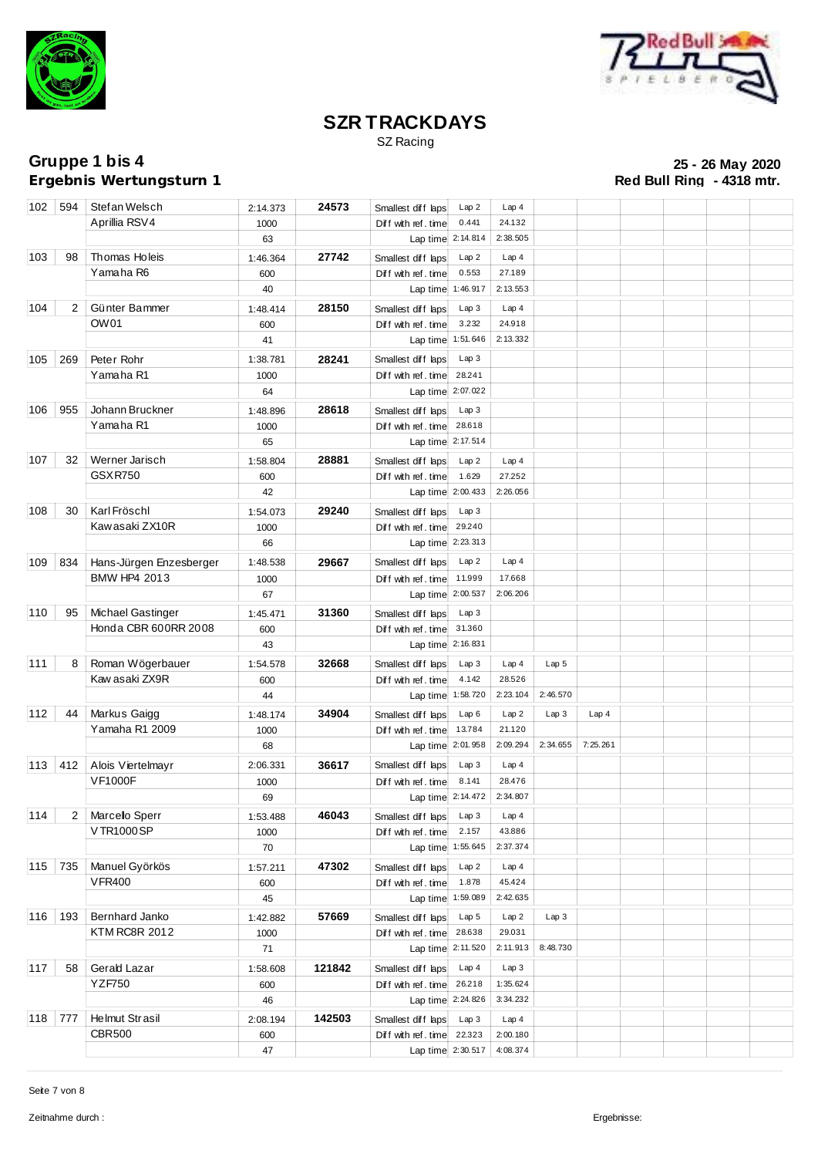



SZ Racing

**Ergebnis Wertungsturn 1** 

**Gruppe 1 bis 4 25 - 26 May 2020**

|               | 102 594        | Stefan Welsch           | 2:14.373   | 24573  | Smallest diff laps                | Lap2              | Lap <sub>4</sub>   |                  |          |  |  |
|---------------|----------------|-------------------------|------------|--------|-----------------------------------|-------------------|--------------------|------------------|----------|--|--|
|               |                | Aprillia RSV4           | 1000       |        | Diff with ref. time               | 0.441             | 24.132             |                  |          |  |  |
|               |                |                         | 63         |        | Lap time 2:14.814                 |                   | 2:38.505           |                  |          |  |  |
| 103           | 98             | Thomas Holeis           | 1:46.364   | 27742  | Smallest diff laps                | Lap2              | Lap4               |                  |          |  |  |
|               |                | Yamaha R6               | 600        |        | Diff with ref. time               | 0.553             | 27.189             |                  |          |  |  |
|               |                |                         | 40         |        | Lap time 1:46.917                 |                   | 2:13.553           |                  |          |  |  |
| $\boxed{104}$ | $\overline{2}$ | Günter Bammer           | 1:48.414   | 28150  | Smallest diff laps                | Lap3              | Lap4               |                  |          |  |  |
|               |                | OW01                    | 600        |        | Diff with ref. time               | 3.232             | 24.918             |                  |          |  |  |
|               |                |                         | 41         |        | Lap time 1:51.646                 |                   | 2:13.332           |                  |          |  |  |
|               |                |                         |            |        |                                   |                   |                    |                  |          |  |  |
| 105           | 269            | Peter Rohr              | 1:38.781   | 28241  | Smallest diff laps                | Lap3              |                    |                  |          |  |  |
|               |                | Yamaha R1               | 1000       |        | Diff with ref. time               | 28.241            |                    |                  |          |  |  |
|               |                |                         | 64         |        | Lap time 2:07.022                 |                   |                    |                  |          |  |  |
| 106   955     |                | Johann Bruckner         | 1:48.896   | 28618  | Smallest diff laps                | Lap3              |                    |                  |          |  |  |
|               |                | Yamaha R1               | 1000       |        | Diff with ref. time               | 28.618            |                    |                  |          |  |  |
|               |                |                         | 65         |        | Lap time 2:17.514                 |                   |                    |                  |          |  |  |
| 107           | 32             | Werner Jarisch          | 1:58.804   | 28881  | Smallest diff laps                | Lap2              | Lap4               |                  |          |  |  |
|               |                | <b>GSXR750</b>          | 600        |        | Diff with ref. time               | 1.629             | 27.252             |                  |          |  |  |
|               |                |                         | 42         |        | Lap time 2:00.433                 |                   | 2:26.056           |                  |          |  |  |
| 108           | 30             | Karl Fröschl            | 1:54.073   | 29240  | Smallest diff laps                | Lap 3             |                    |                  |          |  |  |
|               |                | Kawasaki ZX10R          | 1000       |        | Diff with ref. time               | 29.240            |                    |                  |          |  |  |
|               |                |                         | 66         |        | Lap time 2:23.313                 |                   |                    |                  |          |  |  |
| 109           | 834            | Hans-Jürgen Enzesberger | 1:48.538   | 29667  | Smallest diff laps                | Lap2              | Lap4               |                  |          |  |  |
|               |                | BMW HP4 2013            |            |        | Diff with ref. time               | 11.999            | 17.668             |                  |          |  |  |
|               |                |                         | 1000<br>67 |        | Lap time 2:00.537                 |                   | 2:06.206           |                  |          |  |  |
|               |                |                         |            |        |                                   |                   |                    |                  |          |  |  |
| 110           | 95             | Michael Gastinger       | 1:45.471   | 31360  | Smallest diff laps                | Lap3              |                    |                  |          |  |  |
|               |                | Honda CBR 600RR 2008    | 600        |        | Diff with ref. time 31.360        |                   |                    |                  |          |  |  |
|               |                |                         | 43         |        | Lap time 2:16.831                 |                   |                    |                  |          |  |  |
| 111           | 8              | Roman Wögerbauer        | 1:54.578   | 32668  | Smallest diff laps                | Lap3              | Lap4               | Lap <sub>5</sub> |          |  |  |
|               |                | Kaw asaki ZX9R          | 600        |        | Diff with ref. time               | 4.142             | 28.526             |                  |          |  |  |
|               |                |                         | 44         |        | Lap time 1:58.720                 |                   | 2:23.104           | 2:46.570         |          |  |  |
| 112           | 44             | Markus Gaigg            | 1:48.174   | 34904  | Smallest diff laps                | Lap6              | Lap2               | Lap3             | Lap4     |  |  |
|               |                | Yamaha R1 2009          | 1000       |        | Diff with ref. time               | 13.784            | 21.120             |                  |          |  |  |
|               |                |                         | 68         |        | Lap time 2:01.958                 |                   | 2:09.294           | 2:34.655         | 7:25.261 |  |  |
| 113           | 412            | Alois Viertelmayr       | 2:06.331   | 36617  | Smallest diff laps                | Lap3              | Lap4               |                  |          |  |  |
|               |                | <b>VF1000F</b>          | 1000       |        | Diff with ref. time               | 8.141             | 28.476             |                  |          |  |  |
|               |                |                         | 69         |        | Lap time 2:14.472                 |                   | 2:34.807           |                  |          |  |  |
| $\boxed{114}$ |                | 2 Marcello Sperr        | 1:53.488   | 46043  | Smallest diff laps Lap 3 Lap 4    |                   |                    |                  |          |  |  |
|               |                | V TR1000 SP             | 1000       |        | Diff with ref. time $\vert$ 2.157 |                   | 43.886             |                  |          |  |  |
|               |                |                         | 70         |        | Lap time 1:55.645                 |                   | 2:37.374           |                  |          |  |  |
| 115 735       |                | Manuel Györkös          |            | 47302  |                                   |                   |                    |                  |          |  |  |
|               |                | <b>VFR400</b>           | 1:57.211   |        | Smallest diff laps Lap 2          |                   | Lap4               |                  |          |  |  |
|               |                |                         | 600        |        | Diff with ref. time 1.878         |                   | 45.424<br>2:42.635 |                  |          |  |  |
|               |                |                         | 45         |        | Lap time 1:59.089                 |                   |                    |                  |          |  |  |
| 116 193       |                | Bernhard Janko          | 1:42.882   | 57669  | Smallest diff laps Lap 5          |                   | Lap2               | Lap3             |          |  |  |
|               |                | <b>KTM RC8R 2012</b>    | 1000       |        | Diff with ref. time 28.638        |                   | 29.031             |                  |          |  |  |
|               |                |                         | 71         |        | Lap time 2:11.520                 |                   | 2:11.913           | 8:48.730         |          |  |  |
| 117           | 58             | Gerald Lazar            | 1:58.608   | 121842 | Smallest diff laps                | Lap 4             | Lap3               |                  |          |  |  |
|               |                | <b>YZF750</b>           | 600        |        | Diff with ref. time 26.218        |                   | 1:35.624           |                  |          |  |  |
|               |                |                         | 46         |        | Lap time 2:24.826                 |                   | 3:34.232           |                  |          |  |  |
| 118 777       |                | Helmut Strasil          | 2:08.194   | 142503 | Smallest diff laps Lap 3          |                   | Lap <sub>4</sub>   |                  |          |  |  |
|               |                | <b>CBR500</b>           | 600        |        | Diff with ref. time 22.323        |                   | 2:00.180           |                  |          |  |  |
|               |                |                         | 47         |        |                                   | Lap time 2:30.517 | 4:08.374           |                  |          |  |  |
|               |                |                         |            |        |                                   |                   |                    |                  |          |  |  |

Seite 7 von 8